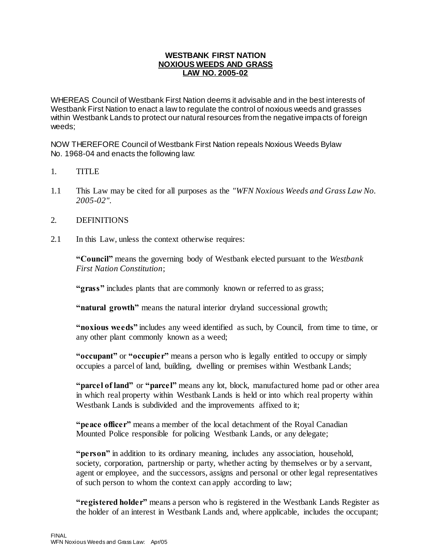### **WESTBANK FIRST NATION NOXIOUS WEEDS AND GRASS LAW NO. 2005-02**

WHEREAS Council of Westbank First Nation deems it advisable and in the best interests of Westbank First Nation to enact a law to regulate the control of noxious weeds and grasses within Westbank Lands to protect our natural resources from the negative impacts of foreign weeds;

NOW THEREFORE Council of Westbank First Nation repeals Noxious Weeds Bylaw No. 1968-04 and enacts the following law:

- 1. TITLE
- 1.1 This Law may be cited for all purposes as the *"WFN Noxious Weeds and Grass Law No. 2005-02"*.
- 2. DEFINITIONS
- 2.1 In this Law, unless the context otherwise requires:

**"Council"** means the governing body of Westbank elected pursuant to the *Westbank First Nation Constitution*;

**"grass"** includes plants that are commonly known or referred to as grass;

**"natural growth"** means the natural interior dryland successional growth;

**"noxious weeds"** includes any weed identified as such, by Council, from time to time, or any other plant commonly known as a weed;

**"occupant"** or **"occupier"** means a person who is legally entitled to occupy or simply occupies a parcel of land, building, dwelling or premises within Westbank Lands;

**"parcel of land"** or **"parcel"** means any lot, block, manufactured home pad or other area in which real property within Westbank Lands is held or into which real property within Westbank Lands is subdivided and the improvements affixed to it;

**"peace officer"** means a member of the local detachment of the Royal Canadian Mounted Police responsible for policing Westbank Lands, or any delegate;

**"person"** in addition to its ordinary meaning, includes any association, household, society, corporation, partnership or party, whether acting by themselves or by a servant, agent or employee, and the successors, assigns and personal or other legal representatives of such person to whom the context can apply according to law;

**"registered holder"** means a person who is registered in the Westbank Lands Register as the holder of an interest in Westbank Lands and, where applicable, includes the occupant;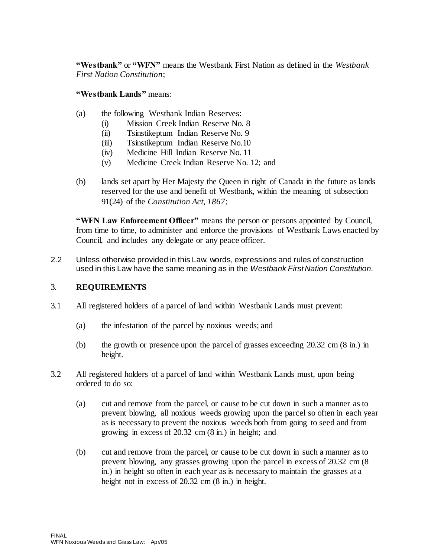**"Westbank"** or **"WFN"** means the Westbank First Nation as defined in the *Westbank First Nation Constitution*;

**"Westbank Lands"** means:

- (a) the following Westbank Indian Reserves:
	- (i) Mission Creek Indian Reserve No. 8
	- (ii) Tsinstikeptum Indian Reserve No. 9
	- (iii) Tsinstikeptum Indian Reserve No.10
	- (iv) Medicine Hill Indian Reserve No. 11
	- (v) Medicine Creek Indian Reserve No. 12; and
- (b) lands set apart by Her Majesty the Queen in right of Canada in the future as lands reserved for the use and benefit of Westbank, within the meaning of subsection 91(24) of the *Constitution Act, 1867*;

**"WFN Law Enforcement Officer"** means the person or persons appointed by Council, from time to time, to administer and enforce the provisions of Westbank Laws enacted by Council, and includes any delegate or any peace officer.

2.2 Unless otherwise provided in this Law, words, expressions and rules of construction used in this Law have the same meaning as in the *Westbank First Nation Constitution*.

# 3. **REQUIREMENTS**

- 3.1 All registered holders of a parcel of land within Westbank Lands must prevent:
	- (a) the infestation of the parcel by noxious weeds; and
	- (b) the growth or presence upon the parcel of grasses exceeding 20.32 cm (8 in.) in height.
- 3.2 All registered holders of a parcel of land within Westbank Lands must, upon being ordered to do so:
	- (a) cut and remove from the parcel, or cause to be cut down in such a manner as to prevent blowing, all noxious weeds growing upon the parcel so often in each year as is necessary to prevent the noxious weeds both from going to seed and from growing in excess of 20.32 cm (8 in.) in height; and
	- (b) cut and remove from the parcel, or cause to be cut down in such a manner as to prevent blowing, any grasses growing upon the parcel in excess of 20.32 cm (8 in.) in height so often in each year as is necessary to maintain the grasses at a height not in excess of 20.32 cm  $(8 \text{ in.})$  in height.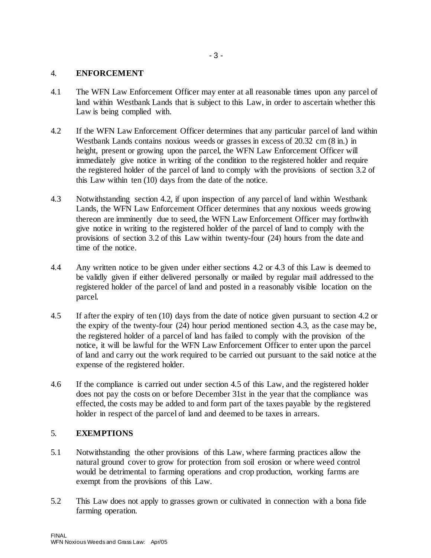#### 4. **ENFORCEMENT**

- 4.1 The WFN Law Enforcement Officer may enter at all reasonable times upon any parcel of land within Westbank Lands that is subject to this Law, in order to ascertain whether this Law is being complied with.
- 4.2 If the WFN Law Enforcement Officer determines that any particular parcel of land within Westbank Lands contains noxious weeds or grasses in excess of 20.32 cm (8 in.) in height, present or growing upon the parcel, the WFN Law Enforcement Officer will immediately give notice in writing of the condition to the registered holder and require the registered holder of the parcel of land to comply with the provisions of section 3.2 of this Law within ten (10) days from the date of the notice.
- 4.3 Notwithstanding section 4.2, if upon inspection of any parcel of land within Westbank Lands, the WFN Law Enforcement Officer determines that any noxious weeds growing thereon are imminently due to seed, the WFN Law Enforcement Officer may forthwith give notice in writing to the registered holder of the parcel of land to comply with the provisions of section 3.2 of this Law within twenty-four (24) hours from the date and time of the notice.
- 4.4 Any written notice to be given under either sections 4.2 or 4.3 of this Law is deemed to be validly given if either delivered personally or mailed by regular mail addressed to the registered holder of the parcel of land and posted in a reasonably visible location on the parcel.
- 4.5 If after the expiry of ten (10) days from the date of notice given pursuant to section 4.2 or the expiry of the twenty-four (24) hour period mentioned section 4.3, as the case may be, the registered holder of a parcel of land has failed to comply with the provision of the notice, it will be lawful for the WFN Law Enforcement Officer to enter upon the parcel of land and carry out the work required to be carried out pursuant to the said notice at the expense of the registered holder.
- 4.6 If the compliance is carried out under section 4.5 of this Law, and the registered holder does not pay the costs on or before December 31st in the year that the compliance was effected, the costs may be added to and form part of the taxes payable by the registered holder in respect of the parcel of land and deemed to be taxes in arrears.

### 5. **EXEMPTIONS**

- 5.1 Notwithstanding the other provisions of this Law, where farming practices allow the natural ground cover to grow for protection from soil erosion or where weed control would be detrimental to farming operations and crop production, working farms are exempt from the provisions of this Law.
- 5.2 This Law does not apply to grasses grown or cultivated in connection with a bona fide farming operation.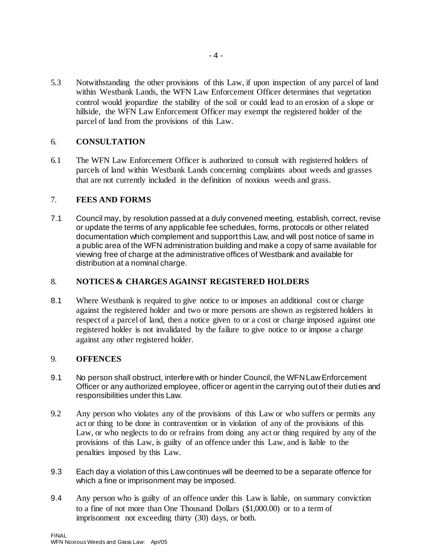5.3 Notwithstanding the other provisions of this Law, if upon inspection of any parcel of land within Westbank Lands, the WFN Law Enforcement Officer determines that vegetation control would jeopardize the stability of the soil or could lead to an erosion of a slope or hillside, the WFN Law Enforcement Officer may exempt the registered holder of the parcel of land from the provisions of this Law.

# 6. **CONSULTATION**

6.1 The WFN Law Enforcement Officer is authorized to consult with registered holders of parcels of land within Westbank Lands concerning complaints about weeds and grasses that are not currently included in the definition of noxious weeds and grass.

### 7. **FEES AND FORMS**

7.1 Council may, by resolution passed at a duly convened meeting, establish, correct, revise or update the terms of any applicable fee schedules, forms, protocols or other related documentation which complement and support this Law, and will post notice of same in a public area of the WFN administration building and make a copy of same available for viewing free of charge at the administrative offices of Westbank and available for distribution at a nominal charge.

# 8. **NOTICES & CHARGES AGAINST REGISTERED HOLDERS**

8.1 Where Westbank is required to give notice to or imposes an additional cost or charge against the registered holder and two or more persons are shown as registered holders in respect of a parcel of land, then a notice given to or a cost or charge imposed against one registered holder is not invalidated by the failure to give notice to or impose a charge against any other registered holder.

### 9. **OFFENCES**

- 9.1 No person shall obstruct, interfere with or hinder Council, the WFN Law Enforcement Officer or any authorized employee, officer or agent in the carrying out of their duties and responsibilities under this Law.
- 9.2 Any person who violates any of the provisions of this Law or who suffers or permits any act or thing to be done in contravention or in violation of any of the provisions of this Law, or who neglects to do or refrains from doing any act or thing required by any of the provisions of this Law, is guilty of an offence under this Law, and is liable to the penalties imposed by this Law.
- 9.3 Each day a violation of this Law continues will be deemed to be a separate offence for which a fine or imprisonment may be imposed.
- 9.4 Any person who is guilty of an offence under this Law is liable, on summary conviction to a fine of not more than One Thousand Dollars (\$1,000.00) or to a term of imprisonment not exceeding thirty (30) days, or both.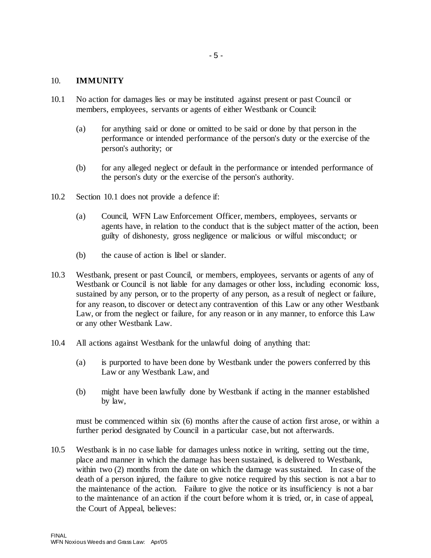#### 10. **IMMUNITY**

- 10.1 No action for damages lies or may be instituted against present or past Council or members, employees, servants or agents of either Westbank or Council:
	- (a) for anything said or done or omitted to be said or done by that person in the performance or intended performance of the person's duty or the exercise of the person's authority; or
	- (b) for any alleged neglect or default in the performance or intended performance of the person's duty or the exercise of the person's authority.
- 10.2 Section 10.1 does not provide a defence if:
	- (a) Council, WFN Law Enforcement Officer, members, employees, servants or agents have, in relation to the conduct that is the subject matter of the action, been guilty of dishonesty, gross negligence or malicious or wilful misconduct; or
	- (b) the cause of action is libel or slander.
- 10.3 Westbank, present or past Council, or members, employees, servants or agents of any of Westbank or Council is not liable for any damages or other loss, including economic loss, sustained by any person, or to the property of any person, as a result of neglect or failure, for any reason, to discover or detect any contravention of this Law or any other Westbank Law, or from the neglect or failure, for any reason or in any manner, to enforce this Law or any other Westbank Law.
- 10.4 All actions against Westbank for the unlawful doing of anything that:
	- (a) is purported to have been done by Westbank under the powers conferred by this Law or any Westbank Law, and
	- (b) might have been lawfully done by Westbank if acting in the manner established by law,

must be commenced within six (6) months after the cause of action first arose, or within a further period designated by Council in a particular case, but not afterwards.

10.5 Westbank is in no case liable for damages unless notice in writing, setting out the time, place and manner in which the damage has been sustained, is delivered to Westbank, within two (2) months from the date on which the damage was sustained. In case of the death of a person injured, the failure to give notice required by this section is not a bar to the maintenance of the action. Failure to give the notice or its insufficiency is not a bar to the maintenance of an action if the court before whom it is tried, or, in case of appeal, the Court of Appeal, believes: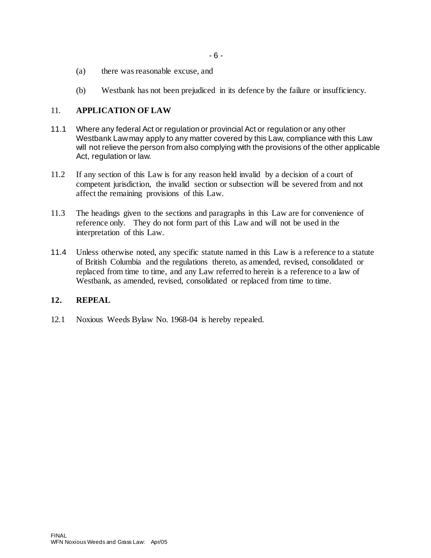- (a) there was reasonable excuse, and
- (b) Westbank has not been prejudiced in its defence by the failure or insufficiency.

# 11. **APPLICATION OF LAW**

- 11.1 Where any federal Act or regulation or provincial Act or regulation or any other Westbank Law may apply to any matter covered by this Law, compliance with this Law will not relieve the person from also complying with the provisions of the other applicable Act, regulation or law.
- 11.2 If any section of this Law is for any reason held invalid by a decision of a court of competent jurisdiction, the invalid section or subsection will be severed from and not affect the remaining provisions of this Law.
- 11.3 The headings given to the sections and paragraphs in this Law are for convenience of reference only. They do not form part of this Law and will not be used in the interpretation of this Law.
- 11.4 Unless otherwise noted, any specific statute named in this Law is a reference to a statute of British Columbia and the regulations thereto, as amended, revised, consolidated or replaced from time to time, and any Law referred to herein is a reference to a law of Westbank, as amended, revised, consolidated or replaced from time to time.

# **12. REPEAL**

12.1 Noxious Weeds Bylaw No. 1968-04 is hereby repealed.